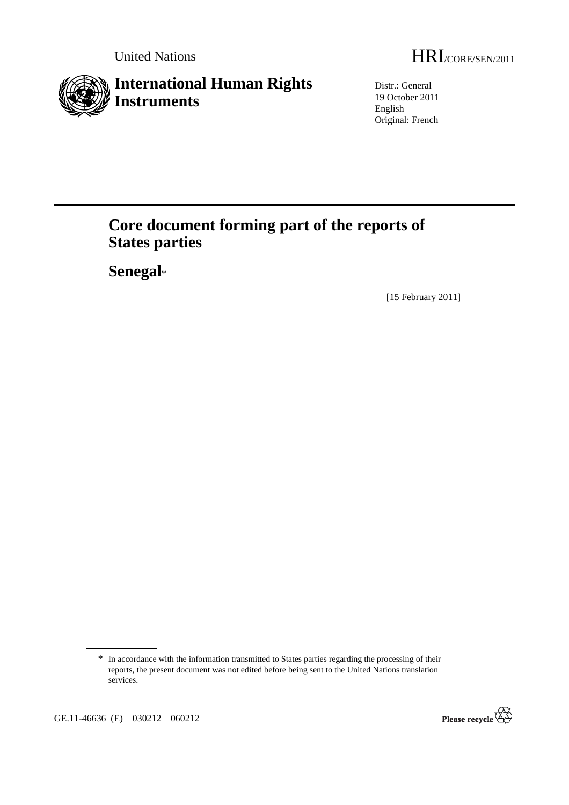

Distr.: General 19 October 2011 English Original: French

# **Core document forming part of the reports of States parties**

 **Senegal**\*

[15 February 2011]



<sup>\*</sup> In accordance with the information transmitted to States parties regarding the processing of their reports, the present document was not edited before being sent to the United Nations translation services.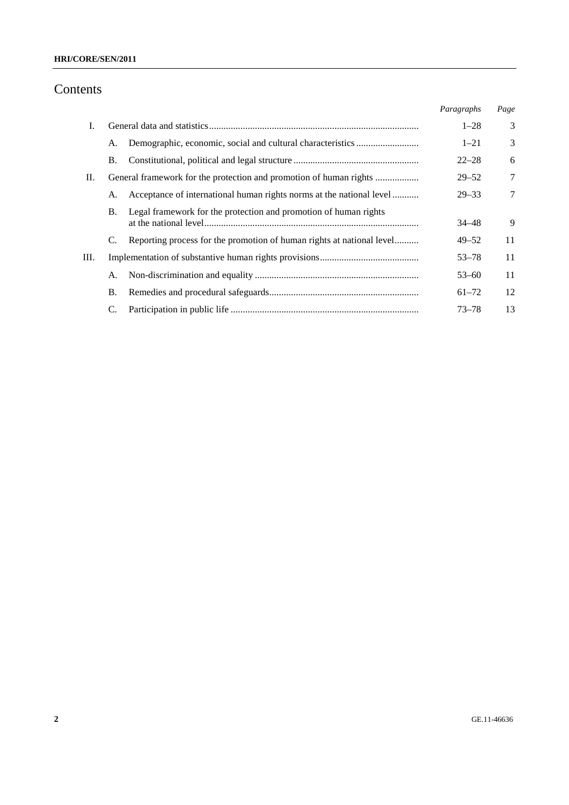# Contents

|    |                                                                               | Paragraphs | Page |
|----|-------------------------------------------------------------------------------|------------|------|
| I. |                                                                               | $1 - 28$   | 3    |
|    | А.                                                                            | $1 - 21$   | 3    |
|    | Β.                                                                            | $22 - 28$  | 6    |
| П. |                                                                               | $29 - 52$  | 7    |
|    | Acceptance of international human rights norms at the national level<br>А.    | $29 - 33$  | 7    |
|    | Legal framework for the protection and promotion of human rights<br><b>B.</b> | $34 - 48$  | 9    |
|    | Reporting process for the promotion of human rights at national level         | $49 - 52$  | 11   |
| Ш. |                                                                               | $53 - 78$  | 11   |
|    | А.                                                                            | $53 - 60$  | 11   |
|    | В.                                                                            | $61 - 72$  | 12   |
|    |                                                                               | $73 - 78$  | 13   |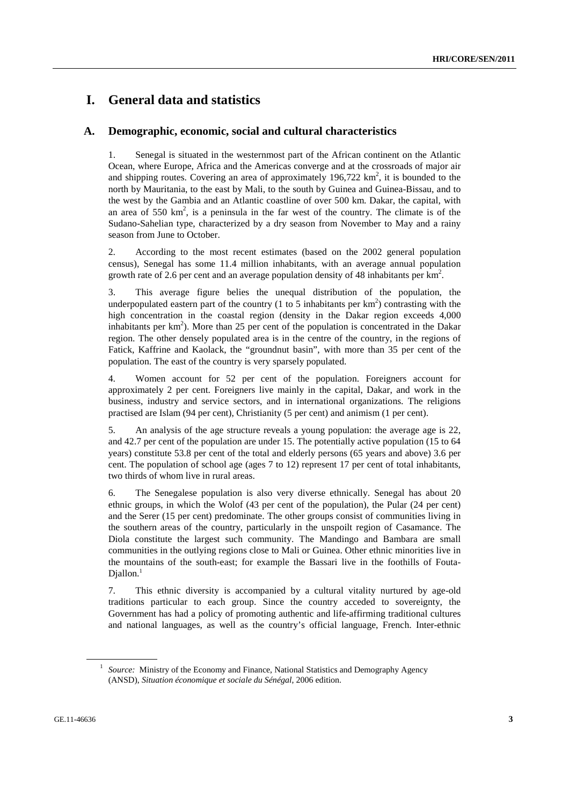# **I. General data and statistics**

#### **A. Demographic, economic, social and cultural characteristics**

1. Senegal is situated in the westernmost part of the African continent on the Atlantic Ocean, where Europe, Africa and the Americas converge and at the crossroads of major air and shipping routes. Covering an area of approximately  $196,722 \text{ km}^2$ , it is bounded to the north by Mauritania, to the east by Mali, to the south by Guinea and Guinea-Bissau, and to the west by the Gambia and an Atlantic coastline of over 500 km. Dakar, the capital, with an area of 550  $\text{km}^2$ , is a peninsula in the far west of the country. The climate is of the Sudano-Sahelian type, characterized by a dry season from November to May and a rainy season from June to October.

2. According to the most recent estimates (based on the 2002 general population census), Senegal has some 11.4 million inhabitants, with an average annual population growth rate of 2.6 per cent and an average population density of 48 inhabitants per  $\text{km}^2$ .

3. This average figure belies the unequal distribution of the population, the underpopulated eastern part of the country (1 to 5 inhabitants per  $km<sup>2</sup>$ ) contrasting with the high concentration in the coastal region (density in the Dakar region exceeds 4,000 inhabitants per  $km<sup>2</sup>$ ). More than 25 per cent of the population is concentrated in the Dakar region. The other densely populated area is in the centre of the country, in the regions of Fatick, Kaffrine and Kaolack, the "groundnut basin", with more than 35 per cent of the population. The east of the country is very sparsely populated.

4. Women account for 52 per cent of the population. Foreigners account for approximately 2 per cent. Foreigners live mainly in the capital, Dakar, and work in the business, industry and service sectors, and in international organizations. The religions practised are Islam (94 per cent), Christianity (5 per cent) and animism (1 per cent).

5. An analysis of the age structure reveals a young population: the average age is 22, and 42.7 per cent of the population are under 15. The potentially active population (15 to 64 years) constitute 53.8 per cent of the total and elderly persons (65 years and above) 3.6 per cent. The population of school age (ages 7 to 12) represent 17 per cent of total inhabitants, two thirds of whom live in rural areas.

6. The Senegalese population is also very diverse ethnically. Senegal has about 20 ethnic groups, in which the Wolof (43 per cent of the population), the Pular (24 per cent) and the Serer (15 per cent) predominate. The other groups consist of communities living in the southern areas of the country, particularly in the unspoilt region of Casamance. The Diola constitute the largest such community. The Mandingo and Bambara are small communities in the outlying regions close to Mali or Guinea. Other ethnic minorities live in the mountains of the south-east; for example the Bassari live in the foothills of Fouta-Diallon.<sup>1</sup>

7. This ethnic diversity is accompanied by a cultural vitality nurtured by age-old traditions particular to each group. Since the country acceded to sovereignty, the Government has had a policy of promoting authentic and life-affirming traditional cultures and national languages, as well as the country's official language, French. Inter-ethnic

<sup>&</sup>lt;sup>1</sup> *Source:* Ministry of the Economy and Finance, National Statistics and Demography Agency (ANSD), *Situation économique et sociale du Sénégal*, 2006 edition.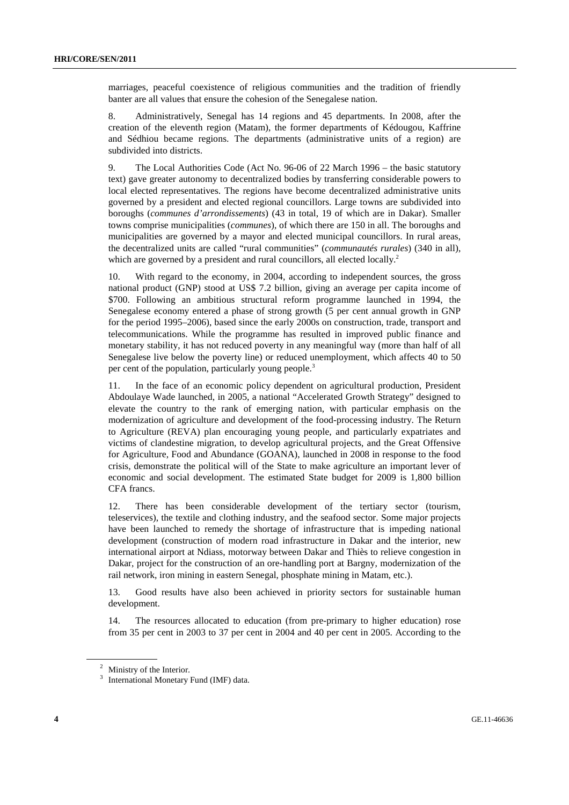marriages, peaceful coexistence of religious communities and the tradition of friendly banter are all values that ensure the cohesion of the Senegalese nation.

8. Administratively, Senegal has 14 regions and 45 departments. In 2008, after the creation of the eleventh region (Matam), the former departments of Kédougou, Kaffrine and Sédhiou became regions. The departments (administrative units of a region) are subdivided into districts.

9. The Local Authorities Code (Act No. 96-06 of 22 March 1996 – the basic statutory text) gave greater autonomy to decentralized bodies by transferring considerable powers to local elected representatives. The regions have become decentralized administrative units governed by a president and elected regional councillors. Large towns are subdivided into boroughs (*communes d'arrondissements*) (43 in total, 19 of which are in Dakar). Smaller towns comprise municipalities (*communes*), of which there are 150 in all. The boroughs and municipalities are governed by a mayor and elected municipal councillors. In rural areas, the decentralized units are called "rural communities" (*communautés rurales*) (340 in all), which are governed by a president and rural councillors, all elected locally.<sup>2</sup>

10. With regard to the economy, in 2004, according to independent sources, the gross national product (GNP) stood at US\$ 7.2 billion, giving an average per capita income of \$700. Following an ambitious structural reform programme launched in 1994, the Senegalese economy entered a phase of strong growth (5 per cent annual growth in GNP for the period 1995–2006), based since the early 2000s on construction, trade, transport and telecommunications. While the programme has resulted in improved public finance and monetary stability, it has not reduced poverty in any meaningful way (more than half of all Senegalese live below the poverty line) or reduced unemployment, which affects 40 to 50 per cent of the population, particularly young people.<sup>3</sup>

11. In the face of an economic policy dependent on agricultural production, President Abdoulaye Wade launched, in 2005, a national "Accelerated Growth Strategy" designed to elevate the country to the rank of emerging nation, with particular emphasis on the modernization of agriculture and development of the food-processing industry. The Return to Agriculture (REVA) plan encouraging young people, and particularly expatriates and victims of clandestine migration, to develop agricultural projects, and the Great Offensive for Agriculture, Food and Abundance (GOANA), launched in 2008 in response to the food crisis, demonstrate the political will of the State to make agriculture an important lever of economic and social development. The estimated State budget for 2009 is 1,800 billion CFA francs.

12. There has been considerable development of the tertiary sector (tourism, teleservices), the textile and clothing industry, and the seafood sector. Some major projects have been launched to remedy the shortage of infrastructure that is impeding national development (construction of modern road infrastructure in Dakar and the interior, new international airport at Ndiass, motorway between Dakar and Thiès to relieve congestion in Dakar, project for the construction of an ore-handling port at Bargny, modernization of the rail network, iron mining in eastern Senegal, phosphate mining in Matam, etc.).

13. Good results have also been achieved in priority sectors for sustainable human development.

14. The resources allocated to education (from pre-primary to higher education) rose from 35 per cent in 2003 to 37 per cent in 2004 and 40 per cent in 2005. According to the

<sup>&</sup>lt;sup>2</sup> Ministry of the Interior.

<sup>&</sup>lt;sup>3</sup> International Monetary Fund (IMF) data.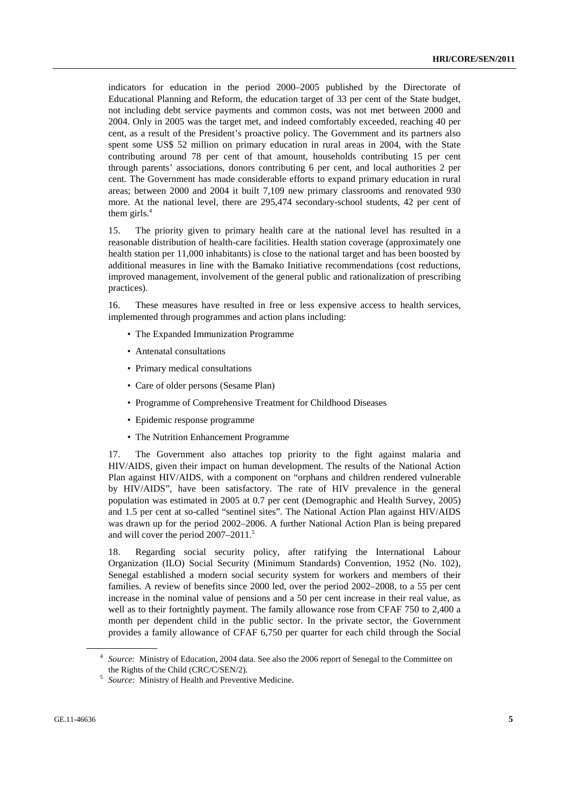indicators for education in the period 2000–2005 published by the Directorate of Educational Planning and Reform, the education target of 33 per cent of the State budget, not including debt service payments and common costs, was not met between 2000 and 2004. Only in 2005 was the target met, and indeed comfortably exceeded, reaching 40 per cent, as a result of the President's proactive policy. The Government and its partners also spent some US\$ 52 million on primary education in rural areas in 2004, with the State contributing around 78 per cent of that amount, households contributing 15 per cent through parents' associations, donors contributing 6 per cent, and local authorities 2 per cent. The Government has made considerable efforts to expand primary education in rural areas; between 2000 and 2004 it built 7,109 new primary classrooms and renovated 930 more. At the national level, there are 295,474 secondary-school students, 42 per cent of them girls. $4$ 

15. The priority given to primary health care at the national level has resulted in a reasonable distribution of health-care facilities. Health station coverage (approximately one health station per 11,000 inhabitants) is close to the national target and has been boosted by additional measures in line with the Bamako Initiative recommendations (cost reductions, improved management, involvement of the general public and rationalization of prescribing practices).

16. These measures have resulted in free or less expensive access to health services, implemented through programmes and action plans including:

- The Expanded Immunization Programme
- Antenatal consultations
- Primary medical consultations
- Care of older persons (Sesame Plan)
- Programme of Comprehensive Treatment for Childhood Diseases
- Epidemic response programme
- The Nutrition Enhancement Programme

17. The Government also attaches top priority to the fight against malaria and HIV/AIDS, given their impact on human development. The results of the National Action Plan against HIV/AIDS, with a component on "orphans and children rendered vulnerable by HIV/AIDS", have been satisfactory. The rate of HIV prevalence in the general population was estimated in 2005 at 0.7 per cent (Demographic and Health Survey, 2005) and 1.5 per cent at so-called "sentinel sites". The National Action Plan against HIV/AIDS was drawn up for the period 2002–2006. A further National Action Plan is being prepared and will cover the period 2007–2011.<sup>5</sup>

18. Regarding social security policy, after ratifying the International Labour Organization (ILO) Social Security (Minimum Standards) Convention, 1952 (No. 102), Senegal established a modern social security system for workers and members of their families. A review of benefits since 2000 led, over the period 2002–2008, to a 55 per cent increase in the nominal value of pensions and a 50 per cent increase in their real value, as well as to their fortnightly payment. The family allowance rose from CFAF 750 to 2,400 a month per dependent child in the public sector. In the private sector, the Government provides a family allowance of CFAF 6,750 per quarter for each child through the Social

<sup>4</sup> *Source:* Ministry of Education, 2004 data. See also the 2006 report of Senegal to the Committee on the Rights of the Child (CRC/C/SEN/2). 5 *Source:* Ministry of Health and Preventive Medicine.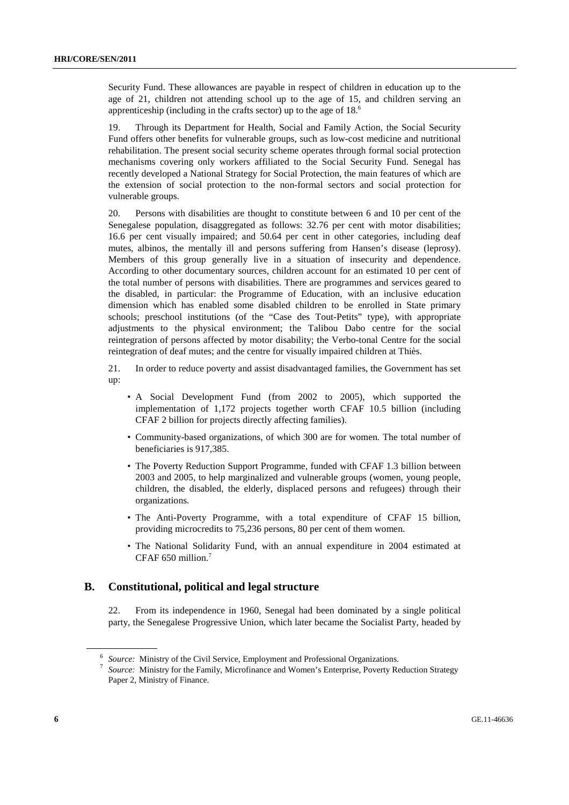Security Fund. These allowances are payable in respect of children in education up to the age of 21, children not attending school up to the age of 15, and children serving an apprenticeship (including in the crafts sector) up to the age of 18.6

19. Through its Department for Health, Social and Family Action, the Social Security Fund offers other benefits for vulnerable groups, such as low-cost medicine and nutritional rehabilitation. The present social security scheme operates through formal social protection mechanisms covering only workers affiliated to the Social Security Fund. Senegal has recently developed a National Strategy for Social Protection, the main features of which are the extension of social protection to the non-formal sectors and social protection for vulnerable groups.

20. Persons with disabilities are thought to constitute between 6 and 10 per cent of the Senegalese population, disaggregated as follows: 32.76 per cent with motor disabilities; 16.6 per cent visually impaired; and 50.64 per cent in other categories, including deaf mutes, albinos, the mentally ill and persons suffering from Hansen's disease (leprosy). Members of this group generally live in a situation of insecurity and dependence. According to other documentary sources, children account for an estimated 10 per cent of the total number of persons with disabilities. There are programmes and services geared to the disabled, in particular: the Programme of Education, with an inclusive education dimension which has enabled some disabled children to be enrolled in State primary schools; preschool institutions (of the "Case des Tout-Petits" type), with appropriate adjustments to the physical environment; the Talibou Dabo centre for the social reintegration of persons affected by motor disability; the Verbo-tonal Centre for the social reintegration of deaf mutes; and the centre for visually impaired children at Thiès.

21. In order to reduce poverty and assist disadvantaged families, the Government has set up:

- A Social Development Fund (from 2002 to 2005), which supported the implementation of 1,172 projects together worth CFAF 10.5 billion (including CFAF 2 billion for projects directly affecting families).
- Community-based organizations, of which 300 are for women. The total number of beneficiaries is 917,385.
- The Poverty Reduction Support Programme, funded with CFAF 1.3 billion between 2003 and 2005, to help marginalized and vulnerable groups (women, young people, children, the disabled, the elderly, displaced persons and refugees) through their organizations.
- The Anti-Poverty Programme, with a total expenditure of CFAF 15 billion, providing microcredits to 75,236 persons, 80 per cent of them women.
- The National Solidarity Fund, with an annual expenditure in 2004 estimated at CFAF 650 million.7

#### **B. Constitutional, political and legal structure**

22. From its independence in 1960, Senegal had been dominated by a single political party, the Senegalese Progressive Union, which later became the Socialist Party, headed by

<sup>6</sup> *Source:* Ministry of the Civil Service, Employment and Professional Organizations. 7 *Source:* Ministry for the Family, Microfinance and Women's Enterprise, Poverty Reduction Strategy Paper 2, Ministry of Finance.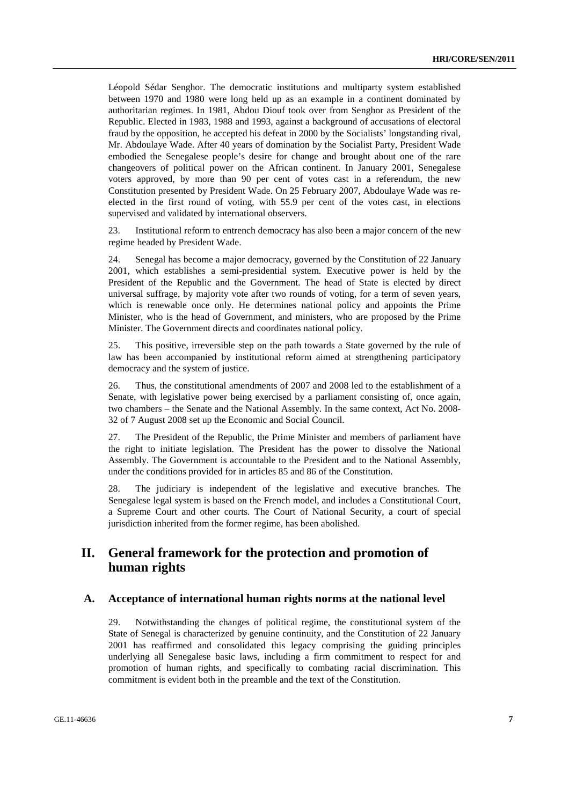Léopold Sédar Senghor. The democratic institutions and multiparty system established between 1970 and 1980 were long held up as an example in a continent dominated by authoritarian regimes. In 1981, Abdou Diouf took over from Senghor as President of the Republic. Elected in 1983, 1988 and 1993, against a background of accusations of electoral fraud by the opposition, he accepted his defeat in 2000 by the Socialists' longstanding rival, Mr. Abdoulaye Wade. After 40 years of domination by the Socialist Party, President Wade embodied the Senegalese people's desire for change and brought about one of the rare changeovers of political power on the African continent. In January 2001, Senegalese voters approved, by more than 90 per cent of votes cast in a referendum, the new Constitution presented by President Wade. On 25 February 2007, Abdoulaye Wade was reelected in the first round of voting, with 55.9 per cent of the votes cast, in elections supervised and validated by international observers.

23. Institutional reform to entrench democracy has also been a major concern of the new regime headed by President Wade.

24. Senegal has become a major democracy, governed by the Constitution of 22 January 2001, which establishes a semi-presidential system. Executive power is held by the President of the Republic and the Government. The head of State is elected by direct universal suffrage, by majority vote after two rounds of voting, for a term of seven years, which is renewable once only. He determines national policy and appoints the Prime Minister, who is the head of Government, and ministers, who are proposed by the Prime Minister. The Government directs and coordinates national policy.

25. This positive, irreversible step on the path towards a State governed by the rule of law has been accompanied by institutional reform aimed at strengthening participatory democracy and the system of justice.

26. Thus, the constitutional amendments of 2007 and 2008 led to the establishment of a Senate, with legislative power being exercised by a parliament consisting of, once again, two chambers – the Senate and the National Assembly. In the same context, Act No. 2008- 32 of 7 August 2008 set up the Economic and Social Council.

27. The President of the Republic, the Prime Minister and members of parliament have the right to initiate legislation. The President has the power to dissolve the National Assembly. The Government is accountable to the President and to the National Assembly, under the conditions provided for in articles 85 and 86 of the Constitution.

28. The judiciary is independent of the legislative and executive branches. The Senegalese legal system is based on the French model, and includes a Constitutional Court, a Supreme Court and other courts. The Court of National Security, a court of special jurisdiction inherited from the former regime, has been abolished.

## **II. General framework for the protection and promotion of human rights**

#### **A. Acceptance of international human rights norms at the national level**

29. Notwithstanding the changes of political regime, the constitutional system of the State of Senegal is characterized by genuine continuity, and the Constitution of 22 January 2001 has reaffirmed and consolidated this legacy comprising the guiding principles underlying all Senegalese basic laws, including a firm commitment to respect for and promotion of human rights, and specifically to combating racial discrimination. This commitment is evident both in the preamble and the text of the Constitution.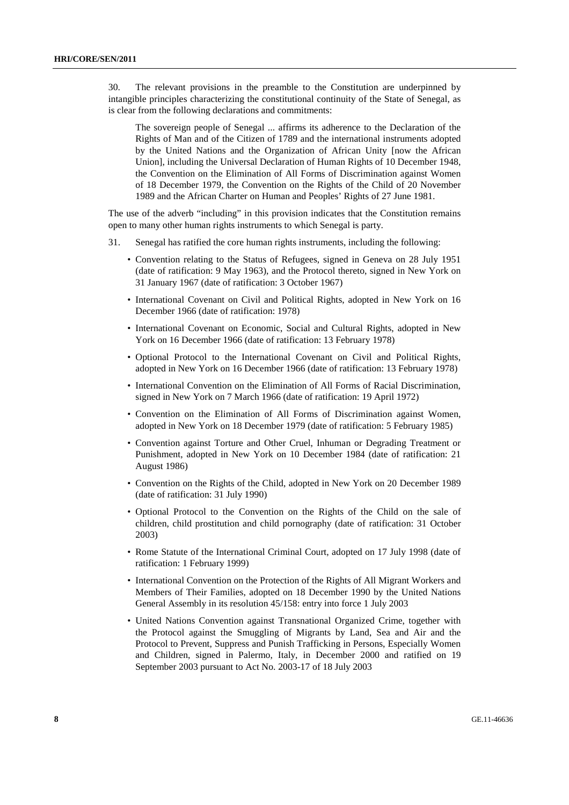30. The relevant provisions in the preamble to the Constitution are underpinned by intangible principles characterizing the constitutional continuity of the State of Senegal, as is clear from the following declarations and commitments:

The sovereign people of Senegal ... affirms its adherence to the Declaration of the Rights of Man and of the Citizen of 1789 and the international instruments adopted by the United Nations and the Organization of African Unity [now the African Union], including the Universal Declaration of Human Rights of 10 December 1948, the Convention on the Elimination of All Forms of Discrimination against Women of 18 December 1979, the Convention on the Rights of the Child of 20 November 1989 and the African Charter on Human and Peoples' Rights of 27 June 1981.

The use of the adverb "including" in this provision indicates that the Constitution remains open to many other human rights instruments to which Senegal is party.

- 31. Senegal has ratified the core human rights instruments, including the following:
	- Convention relating to the Status of Refugees, signed in Geneva on 28 July 1951 (date of ratification: 9 May 1963), and the Protocol thereto, signed in New York on 31 January 1967 (date of ratification: 3 October 1967)
	- International Covenant on Civil and Political Rights, adopted in New York on 16 December 1966 (date of ratification: 1978)
	- International Covenant on Economic, Social and Cultural Rights, adopted in New York on 16 December 1966 (date of ratification: 13 February 1978)
	- Optional Protocol to the International Covenant on Civil and Political Rights, adopted in New York on 16 December 1966 (date of ratification: 13 February 1978)
	- International Convention on the Elimination of All Forms of Racial Discrimination, signed in New York on 7 March 1966 (date of ratification: 19 April 1972)
	- Convention on the Elimination of All Forms of Discrimination against Women, adopted in New York on 18 December 1979 (date of ratification: 5 February 1985)
	- Convention against Torture and Other Cruel, Inhuman or Degrading Treatment or Punishment, adopted in New York on 10 December 1984 (date of ratification: 21 August 1986)
	- Convention on the Rights of the Child, adopted in New York on 20 December 1989 (date of ratification: 31 July 1990)
	- Optional Protocol to the Convention on the Rights of the Child on the sale of children, child prostitution and child pornography (date of ratification: 31 October 2003)
	- Rome Statute of the International Criminal Court, adopted on 17 July 1998 (date of ratification: 1 February 1999)
	- International Convention on the Protection of the Rights of All Migrant Workers and Members of Their Families, adopted on 18 December 1990 by the United Nations General Assembly in its resolution 45/158: entry into force 1 July 2003
	- United Nations Convention against Transnational Organized Crime, together with the Protocol against the Smuggling of Migrants by Land, Sea and Air and the Protocol to Prevent, Suppress and Punish Trafficking in Persons, Especially Women and Children, signed in Palermo, Italy, in December 2000 and ratified on 19 September 2003 pursuant to Act No. 2003-17 of 18 July 2003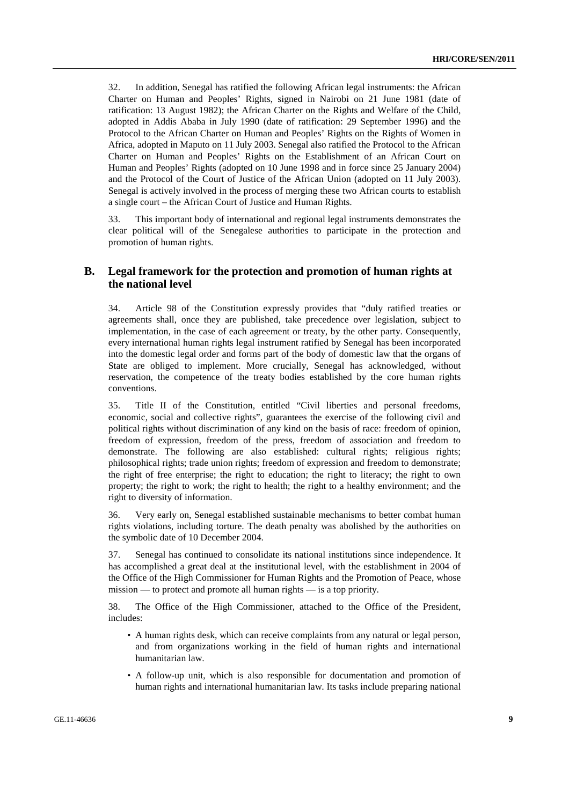32. In addition, Senegal has ratified the following African legal instruments: the African Charter on Human and Peoples' Rights, signed in Nairobi on 21 June 1981 (date of ratification: 13 August 1982); the African Charter on the Rights and Welfare of the Child, adopted in Addis Ababa in July 1990 (date of ratification: 29 September 1996) and the Protocol to the African Charter on Human and Peoples' Rights on the Rights of Women in Africa, adopted in Maputo on 11 July 2003. Senegal also ratified the Protocol to the African Charter on Human and Peoples' Rights on the Establishment of an African Court on Human and Peoples' Rights (adopted on 10 June 1998 and in force since 25 January 2004) and the Protocol of the Court of Justice of the African Union (adopted on 11 July 2003). Senegal is actively involved in the process of merging these two African courts to establish a single court – the African Court of Justice and Human Rights.

33. This important body of international and regional legal instruments demonstrates the clear political will of the Senegalese authorities to participate in the protection and promotion of human rights.

## **B. Legal framework for the protection and promotion of human rights at the national level**

34. Article 98 of the Constitution expressly provides that "duly ratified treaties or agreements shall, once they are published, take precedence over legislation, subject to implementation, in the case of each agreement or treaty, by the other party. Consequently, every international human rights legal instrument ratified by Senegal has been incorporated into the domestic legal order and forms part of the body of domestic law that the organs of State are obliged to implement. More crucially, Senegal has acknowledged, without reservation, the competence of the treaty bodies established by the core human rights conventions.

35. Title II of the Constitution, entitled "Civil liberties and personal freedoms, economic, social and collective rights", guarantees the exercise of the following civil and political rights without discrimination of any kind on the basis of race: freedom of opinion, freedom of expression, freedom of the press, freedom of association and freedom to demonstrate. The following are also established: cultural rights; religious rights; philosophical rights; trade union rights; freedom of expression and freedom to demonstrate; the right of free enterprise; the right to education; the right to literacy; the right to own property; the right to work; the right to health; the right to a healthy environment; and the right to diversity of information.

36. Very early on, Senegal established sustainable mechanisms to better combat human rights violations, including torture. The death penalty was abolished by the authorities on the symbolic date of 10 December 2004.

37. Senegal has continued to consolidate its national institutions since independence. It has accomplished a great deal at the institutional level, with the establishment in 2004 of the Office of the High Commissioner for Human Rights and the Promotion of Peace, whose mission — to protect and promote all human rights — is a top priority.

38. The Office of the High Commissioner, attached to the Office of the President, includes:

- A human rights desk, which can receive complaints from any natural or legal person, and from organizations working in the field of human rights and international humanitarian law.
- A follow-up unit, which is also responsible for documentation and promotion of human rights and international humanitarian law. Its tasks include preparing national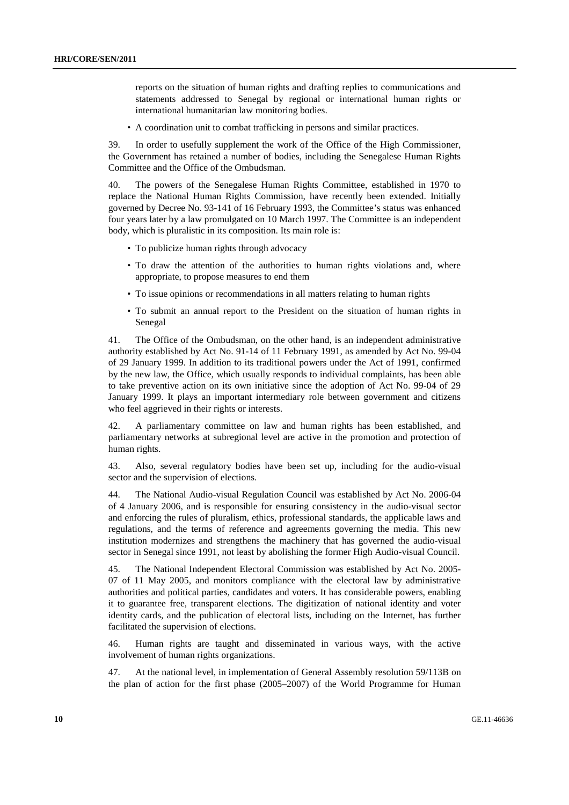reports on the situation of human rights and drafting replies to communications and statements addressed to Senegal by regional or international human rights or international humanitarian law monitoring bodies.

• A coordination unit to combat trafficking in persons and similar practices.

39. In order to usefully supplement the work of the Office of the High Commissioner, the Government has retained a number of bodies, including the Senegalese Human Rights Committee and the Office of the Ombudsman.

40. The powers of the Senegalese Human Rights Committee, established in 1970 to replace the National Human Rights Commission, have recently been extended. Initially governed by Decree No. 93-141 of 16 February 1993, the Committee's status was enhanced four years later by a law promulgated on 10 March 1997. The Committee is an independent body, which is pluralistic in its composition. Its main role is:

- To publicize human rights through advocacy
- To draw the attention of the authorities to human rights violations and, where appropriate, to propose measures to end them
- To issue opinions or recommendations in all matters relating to human rights
- To submit an annual report to the President on the situation of human rights in Senegal

41. The Office of the Ombudsman, on the other hand, is an independent administrative authority established by Act No. 91-14 of 11 February 1991, as amended by Act No. 99-04 of 29 January 1999. In addition to its traditional powers under the Act of 1991, confirmed by the new law, the Office, which usually responds to individual complaints, has been able to take preventive action on its own initiative since the adoption of Act No. 99-04 of 29 January 1999. It plays an important intermediary role between government and citizens who feel aggrieved in their rights or interests.

42. A parliamentary committee on law and human rights has been established, and parliamentary networks at subregional level are active in the promotion and protection of human rights.

43. Also, several regulatory bodies have been set up, including for the audio-visual sector and the supervision of elections.

44. The National Audio-visual Regulation Council was established by Act No. 2006-04 of 4 January 2006, and is responsible for ensuring consistency in the audio-visual sector and enforcing the rules of pluralism, ethics, professional standards, the applicable laws and regulations, and the terms of reference and agreements governing the media. This new institution modernizes and strengthens the machinery that has governed the audio-visual sector in Senegal since 1991, not least by abolishing the former High Audio-visual Council.

45. The National Independent Electoral Commission was established by Act No. 2005- 07 of 11 May 2005, and monitors compliance with the electoral law by administrative authorities and political parties, candidates and voters. It has considerable powers, enabling it to guarantee free, transparent elections. The digitization of national identity and voter identity cards, and the publication of electoral lists, including on the Internet, has further facilitated the supervision of elections.

46. Human rights are taught and disseminated in various ways, with the active involvement of human rights organizations.

47. At the national level, in implementation of General Assembly resolution 59/113B on the plan of action for the first phase (2005–2007) of the World Programme for Human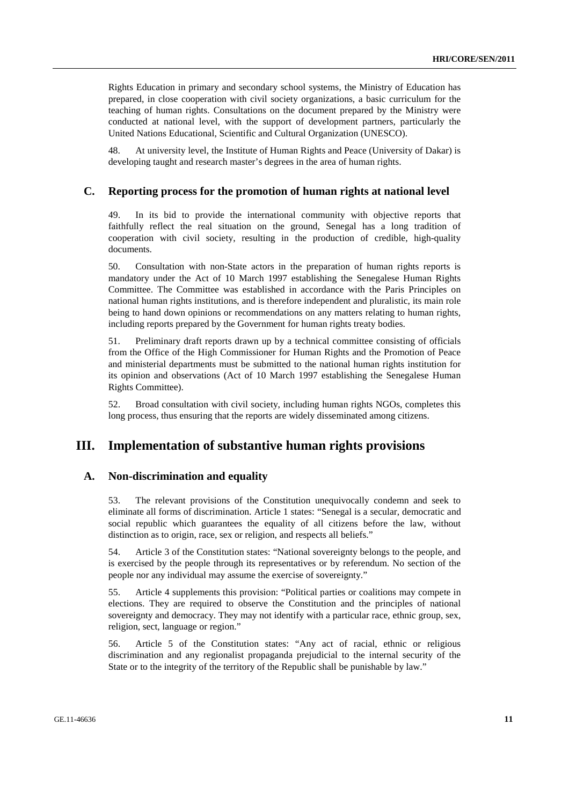Rights Education in primary and secondary school systems, the Ministry of Education has prepared, in close cooperation with civil society organizations, a basic curriculum for the teaching of human rights. Consultations on the document prepared by the Ministry were conducted at national level, with the support of development partners, particularly the United Nations Educational, Scientific and Cultural Organization (UNESCO).

48. At university level, the Institute of Human Rights and Peace (University of Dakar) is developing taught and research master's degrees in the area of human rights.

#### **C. Reporting process for the promotion of human rights at national level**

49. In its bid to provide the international community with objective reports that faithfully reflect the real situation on the ground, Senegal has a long tradition of cooperation with civil society, resulting in the production of credible, high-quality documents.

50. Consultation with non-State actors in the preparation of human rights reports is mandatory under the Act of 10 March 1997 establishing the Senegalese Human Rights Committee. The Committee was established in accordance with the Paris Principles on national human rights institutions, and is therefore independent and pluralistic, its main role being to hand down opinions or recommendations on any matters relating to human rights, including reports prepared by the Government for human rights treaty bodies.

51. Preliminary draft reports drawn up by a technical committee consisting of officials from the Office of the High Commissioner for Human Rights and the Promotion of Peace and ministerial departments must be submitted to the national human rights institution for its opinion and observations (Act of 10 March 1997 establishing the Senegalese Human Rights Committee).

52. Broad consultation with civil society, including human rights NGOs, completes this long process, thus ensuring that the reports are widely disseminated among citizens.

# **III. Implementation of substantive human rights provisions**

## **A. Non-discrimination and equality**

53. The relevant provisions of the Constitution unequivocally condemn and seek to eliminate all forms of discrimination. Article 1 states: "Senegal is a secular, democratic and social republic which guarantees the equality of all citizens before the law, without distinction as to origin, race, sex or religion, and respects all beliefs."

54. Article 3 of the Constitution states: "National sovereignty belongs to the people, and is exercised by the people through its representatives or by referendum. No section of the people nor any individual may assume the exercise of sovereignty."

55. Article 4 supplements this provision: "Political parties or coalitions may compete in elections. They are required to observe the Constitution and the principles of national sovereignty and democracy. They may not identify with a particular race, ethnic group, sex, religion, sect, language or region."

56. Article 5 of the Constitution states: "Any act of racial, ethnic or religious discrimination and any regionalist propaganda prejudicial to the internal security of the State or to the integrity of the territory of the Republic shall be punishable by law."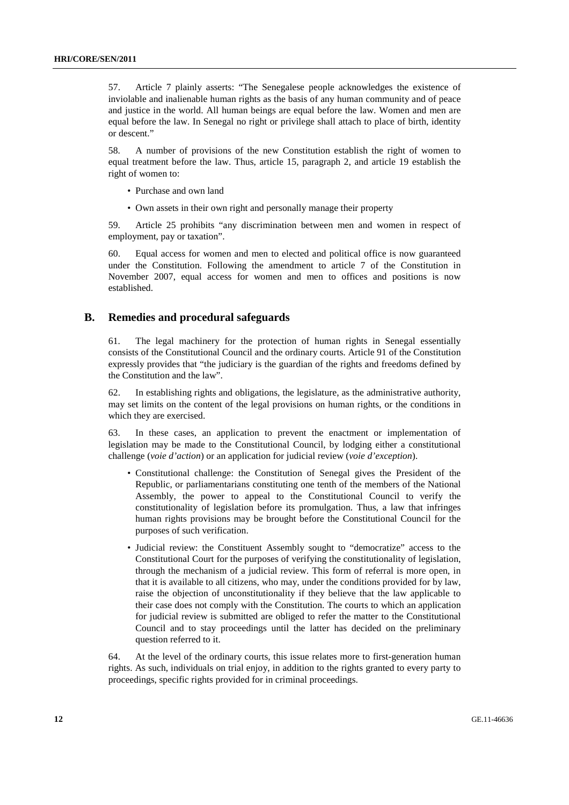57. Article 7 plainly asserts: "The Senegalese people acknowledges the existence of inviolable and inalienable human rights as the basis of any human community and of peace and justice in the world. All human beings are equal before the law. Women and men are equal before the law. In Senegal no right or privilege shall attach to place of birth, identity or descent."

58. A number of provisions of the new Constitution establish the right of women to equal treatment before the law. Thus, article 15, paragraph 2, and article 19 establish the right of women to:

- Purchase and own land
- Own assets in their own right and personally manage their property

59. Article 25 prohibits "any discrimination between men and women in respect of employment, pay or taxation".

60. Equal access for women and men to elected and political office is now guaranteed under the Constitution. Following the amendment to article 7 of the Constitution in November 2007, equal access for women and men to offices and positions is now established.

#### **B. Remedies and procedural safeguards**

61. The legal machinery for the protection of human rights in Senegal essentially consists of the Constitutional Council and the ordinary courts. Article 91 of the Constitution expressly provides that "the judiciary is the guardian of the rights and freedoms defined by the Constitution and the law".

62. In establishing rights and obligations, the legislature, as the administrative authority, may set limits on the content of the legal provisions on human rights, or the conditions in which they are exercised.

63. In these cases, an application to prevent the enactment or implementation of legislation may be made to the Constitutional Council, by lodging either a constitutional challenge (*voie d'action*) or an application for judicial review (*voie d'exception*).

- Constitutional challenge: the Constitution of Senegal gives the President of the Republic, or parliamentarians constituting one tenth of the members of the National Assembly, the power to appeal to the Constitutional Council to verify the constitutionality of legislation before its promulgation. Thus, a law that infringes human rights provisions may be brought before the Constitutional Council for the purposes of such verification.
- Judicial review: the Constituent Assembly sought to "democratize" access to the Constitutional Court for the purposes of verifying the constitutionality of legislation, through the mechanism of a judicial review. This form of referral is more open, in that it is available to all citizens, who may, under the conditions provided for by law, raise the objection of unconstitutionality if they believe that the law applicable to their case does not comply with the Constitution. The courts to which an application for judicial review is submitted are obliged to refer the matter to the Constitutional Council and to stay proceedings until the latter has decided on the preliminary question referred to it.

64. At the level of the ordinary courts, this issue relates more to first-generation human rights. As such, individuals on trial enjoy, in addition to the rights granted to every party to proceedings, specific rights provided for in criminal proceedings.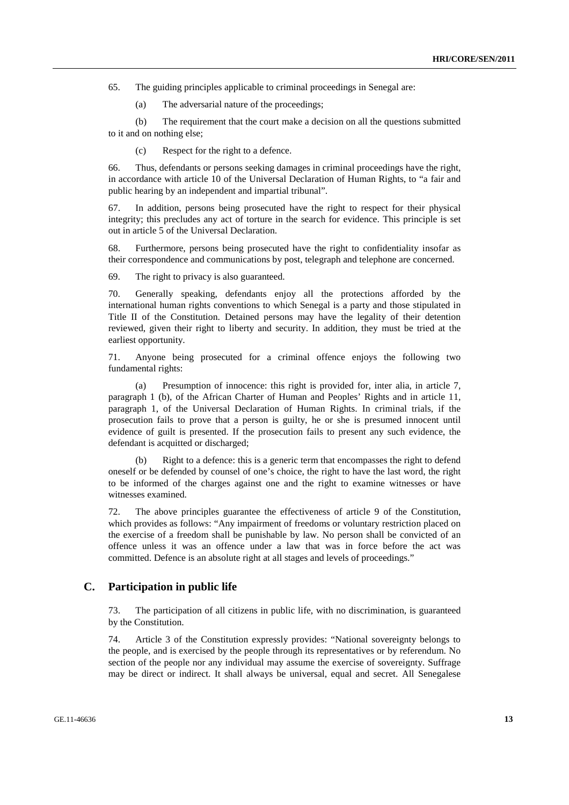65. The guiding principles applicable to criminal proceedings in Senegal are:

(a) The adversarial nature of the proceedings;

(b) The requirement that the court make a decision on all the questions submitted to it and on nothing else;

(c) Respect for the right to a defence.

66. Thus, defendants or persons seeking damages in criminal proceedings have the right, in accordance with article 10 of the Universal Declaration of Human Rights, to "a fair and public hearing by an independent and impartial tribunal".

67. In addition, persons being prosecuted have the right to respect for their physical integrity; this precludes any act of torture in the search for evidence. This principle is set out in article 5 of the Universal Declaration.

68. Furthermore, persons being prosecuted have the right to confidentiality insofar as their correspondence and communications by post, telegraph and telephone are concerned.

69. The right to privacy is also guaranteed.

70. Generally speaking, defendants enjoy all the protections afforded by the international human rights conventions to which Senegal is a party and those stipulated in Title II of the Constitution. Detained persons may have the legality of their detention reviewed, given their right to liberty and security. In addition, they must be tried at the earliest opportunity.

71. Anyone being prosecuted for a criminal offence enjoys the following two fundamental rights:

(a) Presumption of innocence: this right is provided for, inter alia, in article 7, paragraph 1 (b), of the African Charter of Human and Peoples' Rights and in article 11, paragraph 1, of the Universal Declaration of Human Rights. In criminal trials, if the prosecution fails to prove that a person is guilty, he or she is presumed innocent until evidence of guilt is presented. If the prosecution fails to present any such evidence, the defendant is acquitted or discharged;

(b) Right to a defence: this is a generic term that encompasses the right to defend oneself or be defended by counsel of one's choice, the right to have the last word, the right to be informed of the charges against one and the right to examine witnesses or have witnesses examined.

72. The above principles guarantee the effectiveness of article 9 of the Constitution, which provides as follows: "Any impairment of freedoms or voluntary restriction placed on the exercise of a freedom shall be punishable by law. No person shall be convicted of an offence unless it was an offence under a law that was in force before the act was committed. Defence is an absolute right at all stages and levels of proceedings."

## **C. Participation in public life**

73. The participation of all citizens in public life, with no discrimination, is guaranteed by the Constitution.

74. Article 3 of the Constitution expressly provides: "National sovereignty belongs to the people, and is exercised by the people through its representatives or by referendum. No section of the people nor any individual may assume the exercise of sovereignty. Suffrage may be direct or indirect. It shall always be universal, equal and secret. All Senegalese